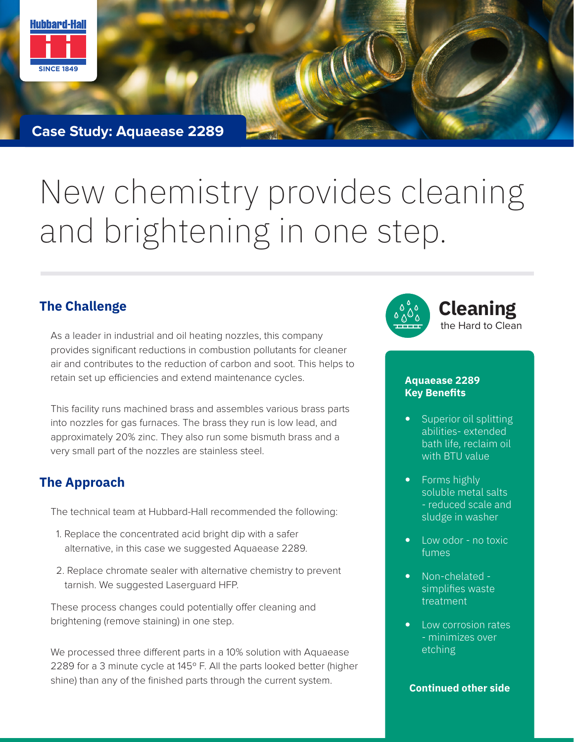

**Case Study: Aquaease 2289**

# New chemistry provides cleaning and brightening in one step.

As a leader in industrial and oil heating nozzles, this company provides significant reductions in combustion pollutants for cleaner air and contributes to the reduction of carbon and soot. This helps to retain set up efficiencies and extend maintenance cycles.

This facility runs machined brass and assembles various brass parts into nozzles for gas furnaces. The brass they run is low lead, and approximately 20% zinc. They also run some bismuth brass and a very small part of the nozzles are stainless steel.

### **The Approach**

The technical team at Hubbard-Hall recommended the following:

- 1. Replace the concentrated acid bright dip with a safer alternative, in this case we suggested Aquaease 2289.
- 2. Replace chromate sealer with alternative chemistry to prevent tarnish. We suggested Laserguard HFP.

These process changes could potentially offer cleaning and brightening (remove staining) in one step.

We processed three different parts in a 10% solution with Aquaease 2289 for a 3 minute cycle at 145º F. All the parts looked better (higher shine) than any of the finished parts through the current system.



#### **Aquaease 2289 Key Benefits**

- Superior oil splitting abilities- extended bath life, reclaim oil with BTU value
- Forms highly soluble metal salts - reduced scale and sludge in washer
- Low odor no toxic fumes
- Non-chelated simplifies waste treatment
- Low corrosion rates - minimizes over etching

#### **Continued other side**